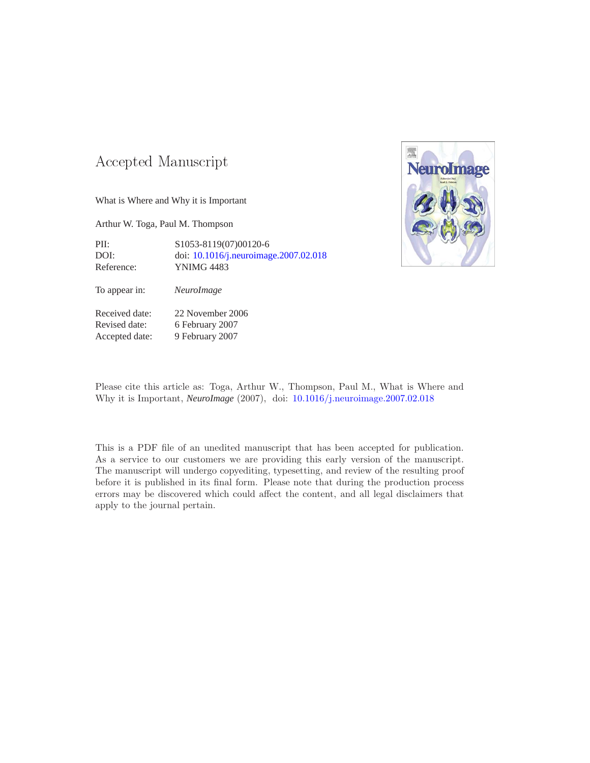### -- -

What is Where and Why it is Important

Arthur W. Toga, Paul M. Thompson

PII: S1053-8119(07)00120-6 DOI: doi: [10.1016/j.neuroimage.2007.02.018](http://dx.doi.org/10.1016/j.neuroimage.2007.02.018) Reference: YNIMG 4483

To appear in: *NeuroImage*

Received date: 22 November 2006 Revised date: 6 February 2007 Accepted date: 9 February 2007



Please cite this article as: Toga, Arthur W., Thompson, Paul M., What is Where and Why it is Important, *NeuroImage* (2007), doi: [10.1016/j.neuroimage.2007.02.018](http://dx.doi.org/10.1016/j.neuroimage.2007.02.018)

This is a PDF file of an unedited manuscript that has been accepted for publication. As a service to our customers we are providing this early version of the manuscript. The manuscript will undergo copyediting, typesetting, and review of the resulting proof before it is published in its final form. Please note that during the production process errors may be discovered which could affect the content, and all legal disclaimers that apply to the journal pertain.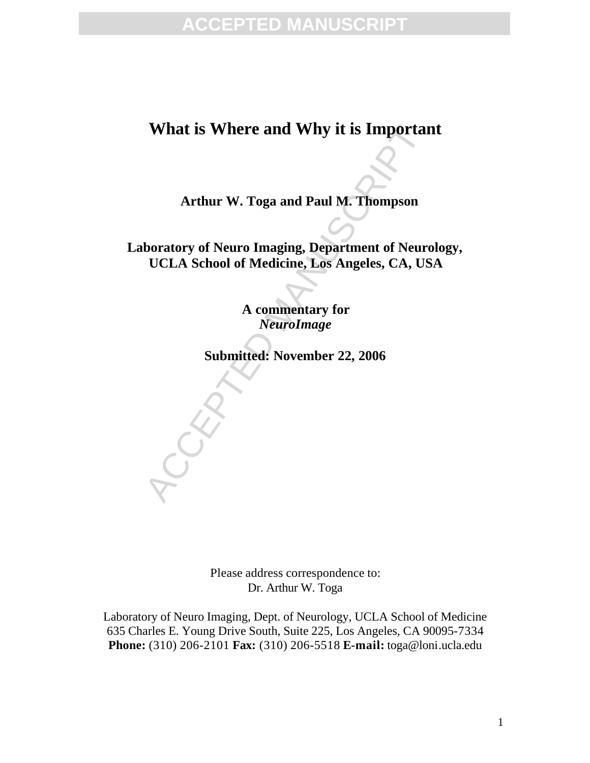## **What is Where and Why it is Important**

**Arthur W. Toga and Paul M. Thompson**

What is Where and Why it is Important<br>Arthur W. Toga and Paul M. Thompson<br>boratory of Neuro Imaging, Department of Neuro<br>UCLA School of Medicine, Los Angeles, CA, US<br>A commentary for<br>NeuroImage<br>Submitted: November 22, 2006 **Laboratory of Neuro Imaging, Department of Neurology, UCLA School of Medicine, Los Angeles, CA, USA**

**A commentary for** *NeuroImage*

**Submitted: November 22, 2006**

Please address correspondence to: Dr. Arthur W. Toga

Laboratory of Neuro Imaging, Dept. of Neurology, UCLA School of Medicine 635 Charles E. Young Drive South, Suite 225, Los Angeles, CA 90095-7334 **Phone:** (310) 206-2101 **Fax:** (310) 206-5518 **E-mail:** toga@loni.ucla.edu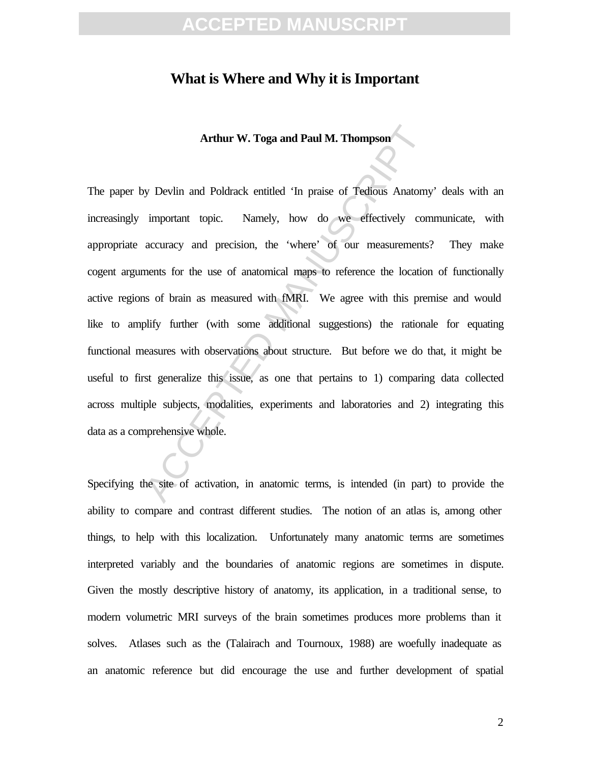#### **What is Where and Why it is Important**

**Arthur W. Toga and Paul M. Thompson**

Arthur W. Toga and Paul M. Thompson<br>y Devlin and Poldrack entitled 'In praise of Tedious Anatomy<br>important topic. Namely, how do we effectively con<br>accuracy and precision, the 'where' of our measurements'<br>nents for the use The paper by Devlin and Poldrack entitled 'In praise of Tedious Anatomy' deals with an increasingly important topic. Namely, how do we effectively communicate, with appropriate accuracy and precision, the 'where' of our measurements? They make cogent arguments for the use of anatomical maps to reference the location of functionally active regions of brain as measured with fMRI. We agree with this premise and would like to amplify further (with some additional suggestions) the rationale for equating functional measures with observations about structure. But before we do that, it might be useful to first generalize this issue, as one that pertains to 1) comparing data collected across multiple subjects, modalities, experiments and laboratories and 2) integrating this data as a comprehensive whole.

Specifying the site of activation, in anatomic terms, is intended (in part) to provide the ability to compare and contrast different studies. The notion of an atlas is, among other things, to help with this localization. Unfortunately many anatomic terms are sometimes interpreted variably and the boundaries of anatomic regions are sometimes in dispute. Given the mostly descriptive history of anatomy, its application, in a traditional sense, to modern volumetric MRI surveys of the brain sometimes produces more problems than it solves. Atlases such as the (Talairach and Tournoux, 1988) are woefully inadequate as an anatomic reference but did encourage the use and further development of spatial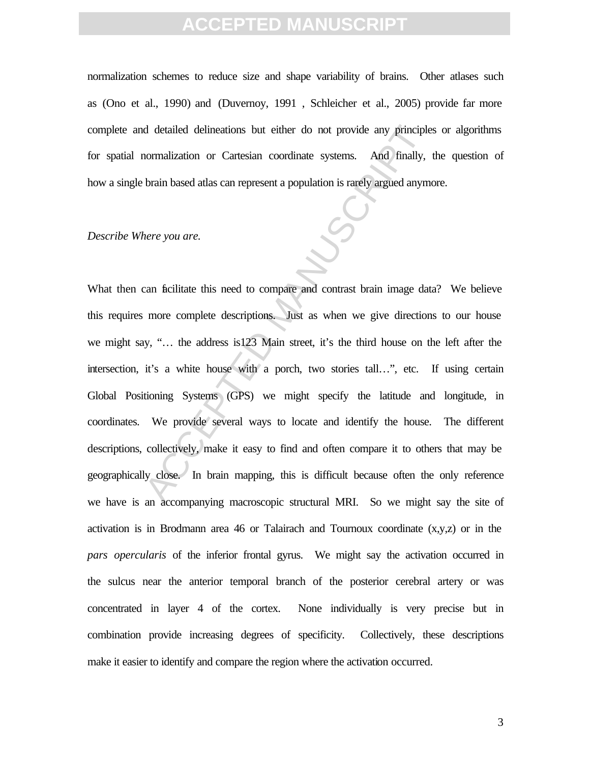normalization schemes to reduce size and shape variability of brains. Other atlases such as (Ono et al., 1990) and (Duvernoy, 1991 , Schleicher et al., 2005) provide far more complete and detailed delineations but either do not provide any principles or algorithms for spatial normalization or Cartesian coordinate systems. And finally, the question of how a single brain based atlas can represent a population is rarely argued anymore.

#### *Describe Where you are.*

defailed delineations but either do not provide any principle<br>normalization or Cartesian coordinate systems. And finally,<br>brain based atlas can represent a population is rarely argued anym<br>here you are.<br><br>can ficilitate thi What then can ficilitate this need to compare and contrast brain image data? We believe this requires more complete descriptions. Just as when we give directions to our house we might say, "… the address is123 Main street, it's the third house on the left after the intersection, it's a white house with a porch, two stories tall…", etc. If using certain Global Positioning Systems (GPS) we might specify the latitude and longitude, in coordinates. We provide several ways to locate and identify the house. The different descriptions, collectively, make it easy to find and often compare it to others that may be geographically close. In brain mapping, this is difficult because often the only reference we have is an accompanying macroscopic structural MRI. So we might say the site of activation is in Brodmann area 46 or Talairach and Tournoux coordinate  $(x,y,z)$  or in the *pars opercularis* of the inferior frontal gyrus. We might say the activation occurred in the sulcus near the anterior temporal branch of the posterior cerebral artery or was concentrated in layer 4 of the cortex. None individually is very precise but in combination provide increasing degrees of specificity. Collectively, these descriptions make it easier to identify and compare the region where the activation occurred.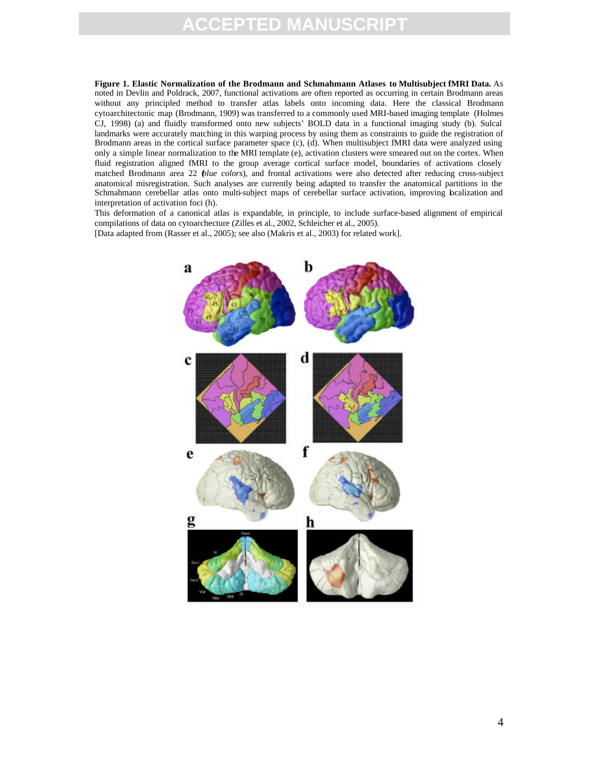## FD M

**Figure 1. Elastic Normalization of the Brodmann and Schmahmann Atlases to Multisubject fMRI Data.** As noted in Devlin and Poldrack, 2007, functional activations are often reported as occurring in certain Brodmann areas without any principled method to transfer atlas labels onto incoming data. Here the classical Brodmann cytoarchitectonic map (Brodmann, 1909) was transferred to a commonly used MRI-based imaging template (Holmes CJ, 1998) (a) and fluidly transformed onto new subjects' BOLD data in a functional imaging study (b). Sulcal landmarks were accurately matching in this warping process by using them as constraints to guide the registration of Brodmann areas in the cortical surface parameter space (c), (d). When multisubject fMRI data were analyzed using only a simple linear normalization to the MRI template (e), activation clusters were smeared out on the cortex. When fluid registration aligned fMRI to the group average cortical surface model, boundaries of activations closely matched Brodmann area 22 *blue colors*), and frontal activations were also detected after reducing cross-subject anatomical misregistration. Such analyses are currently being adapted to transfer the anatomical partitions in the Schmahmann cerebellar atlas onto multi-subject maps of cerebellar surface activation, improving bealization and interpretation of activation foci (h).

This deformation of a canonical atlas is expandable, in principle, to include surface-based alignment of empirical compilations of data on cytoarchecture (Zilles et al., 2002, Schleicher et al., 2005).

[Data adapted from (Rasser et al., 2005); see also (Makris et al., 2003) for related work].

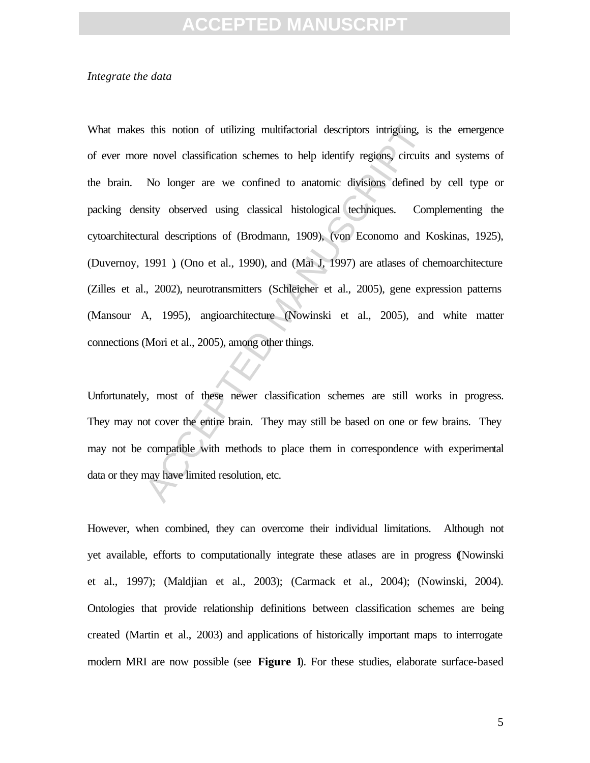#### *Integrate the data*

The interior of utilizing multifactorial descriptors intriguing, is<br>e novel classification schemes to help identify regions, circuits<br>No longer are we confined to anatomic divisions defined<br>usity observed using classical h What makes this notion of utilizing multifactorial descriptors intriguing, is the emergence of ever more novel classification schemes to help identify regions, circuits and systems of the brain. No longer are we confined to anatomic divisions defined by cell type or packing density observed using classical histological techniques. Complementing the cytoarchitectural descriptions of (Brodmann, 1909), (von Economo and Koskinas, 1925), (Duvernoy, 1991 ), (Ono et al., 1990), and (Mai J, 1997) are atlases of chemoarchitecture (Zilles et al., 2002), neurotransmitters (Schleicher et al., 2005), gene expression patterns (Mansour A, 1995), angioarchitecture (Nowinski et al., 2005), and white matter connections (Mori et al., 2005), among other things.

Unfortunately, most of these newer classification schemes are still works in progress. They may not cover the entire brain. They may still be based on one or few brains. They may not be compatible with methods to place them in correspondence with experimental data or they may have limited resolution, etc.

However, when combined, they can overcome their individual limitations. Although not yet available, efforts to computationally integrate these atlases are in progress ((Nowinski et al., 1997); (Maldjian et al., 2003); (Carmack et al., 2004); (Nowinski, 2004). Ontologies that provide relationship definitions between classification schemes are being created (Martin et al., 2003) and applications of historically important maps to interrogate modern MRI are now possible (see **Figure 1**). For these studies, elaborate surface-based

5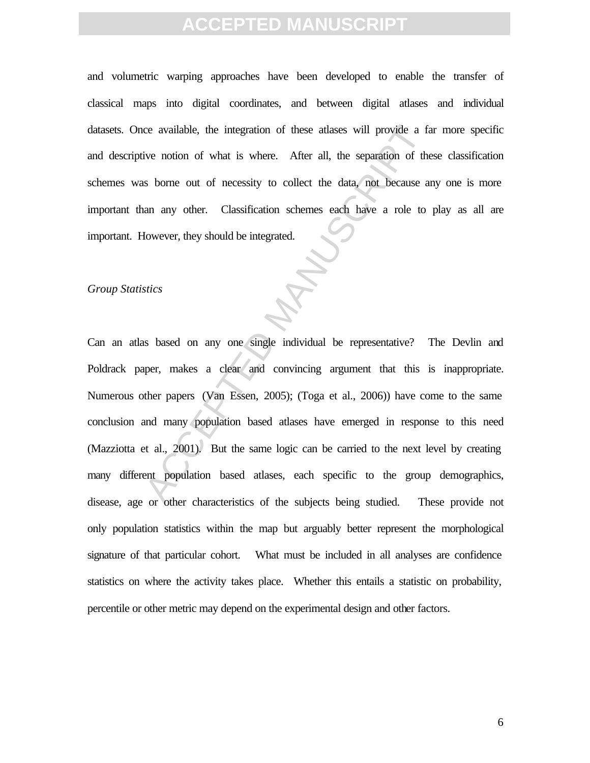and volumetric warping approaches have been developed to enable the transfer of classical maps into digital coordinates, and between digital atlases and individual datasets. Once available, the integration of these atlases will provide a far more specific and descriptive notion of what is where. After all, the separation of these classification schemes was borne out of necessity to collect the data, not because any one is more important than any other. Classification schemes each have a role to play as all are important. However, they should be integrated.

#### *Group Statistics*

ce available, the integration of these atlases will provide a faive notion of what is where. After all, the separation of the some out of necessity to collect the data, not because at an any other. Classification schemes e Can an atlas based on any one single individual be representative? The Devlin and Poldrack paper, makes a clear and convincing argument that this is inappropriate. Numerous other papers (Van Essen, 2005); (Toga et al., 2006)) have come to the same conclusion and many population based atlases have emerged in response to this need (Mazziotta et al., 2001). But the same logic can be carried to the next level by creating many different population based atlases, each specific to the group demographics, disease, age or other characteristics of the subjects being studied. These provide not only population statistics within the map but arguably better represent the morphological signature of that particular cohort. What must be included in all analyses are confidence statistics on where the activity takes place. Whether this entails a statistic on probability, percentile or other metric may depend on the experimental design and other factors.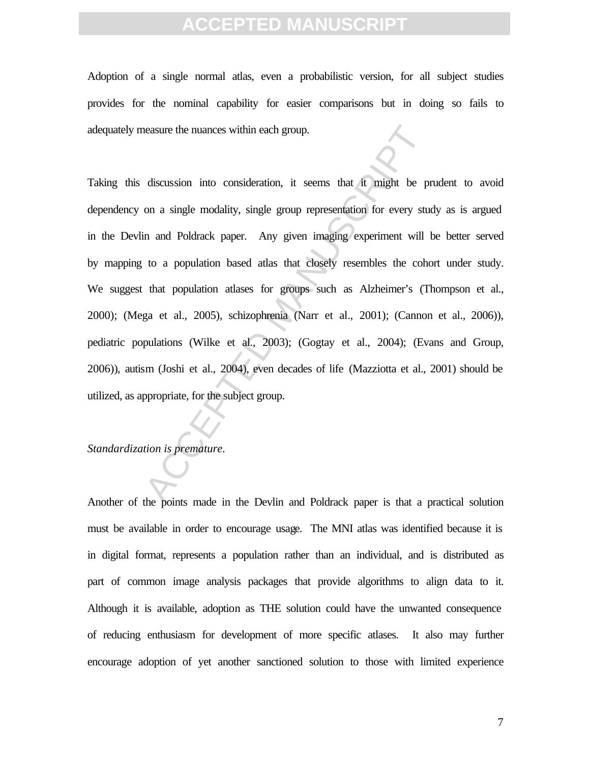Adoption of a single normal atlas, even a probabilistic version, for all subject studies provides for the nominal capability for easier comparisons but in doing so fails to adequately measure the nuances within each group.

reasure the nuances within each group.<br>
discussion into consideration, it seems that it might be prom a single modality, single group representation for every stude and Poldrack paper. Any given imaging experiment will l<br> Taking this discussion into consideration, it seems that it might be prudent to avoid dependency on a single modality, single group representation for every study as is argued in the Devlin and Poldrack paper. Any given imaging experiment will be better served by mapping to a population based atlas that closely resembles the cohort under study. We suggest that population atlases for groups such as Alzheimer's (Thompson et al., 2000); (Mega et al., 2005), schizophrenia (Narr et al., 2001); (Cannon et al., 2006)), pediatric populations (Wilke et al., 2003); (Gogtay et al., 2004); (Evans and Group, 2006)), autism (Joshi et al., 2004), even decades of life (Mazziotta et al., 2001) should be utilized, as appropriate, for the subject group.

#### *Standardization is premature.*

Another of the points made in the Devlin and Poldrack paper is that a practical solution must be available in order to encourage usage. The MNI atlas was identified because it is in digital format, represents a population rather than an individual, and is distributed as part of common image analysis packages that provide algorithms to align data to it. Although it is available, adoption as THE solution could have the unwanted consequence of reducing enthusiasm for development of more specific atlases. It also may further encourage adoption of yet another sanctioned solution to those with limited experience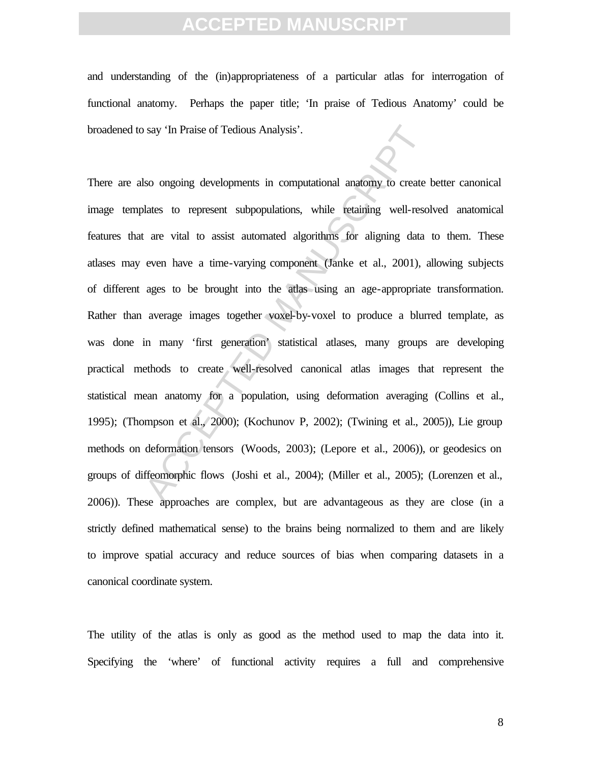and understanding of the (in)appropriateness of a particular atlas for interrogation of functional anatomy. Perhaps the paper title; 'In praise of Tedious Anatomy' could be broadened to say 'In Praise of Tedious Analysis'.

say 'In Praise of Tedious Analysis'.<br>So ongoing developments in computational anatomy to create lates to represent subpopulations, while retaining well-resolved are vital to assist automated algorithms for aligning data ev There are also ongoing developments in computational anatomy to create better canonical image templates to represent subpopulations, while retaining well-resolved anatomical features that are vital to assist automated algorithms for aligning data to them. These atlases may even have a time-varying component (Janke et al., 2001), allowing subjects of different ages to be brought into the atlas using an age-appropriate transformation. Rather than average images together voxel-by-voxel to produce a blurred template, as was done in many 'first generation' statistical atlases, many groups are developing practical methods to create well-resolved canonical atlas images that represent the statistical mean anatomy for a population, using deformation averaging (Collins et al., 1995); (Thompson et al., 2000); (Kochunov P, 2002); (Twining et al., 2005)), Lie group methods on deformation tensors (Woods, 2003); (Lepore et al., 2006)), or geodesics on groups of diffeomorphic flows (Joshi et al., 2004); (Miller et al., 2005); (Lorenzen et al., 2006)). These approaches are complex, but are advantageous as they are close (in a strictly defined mathematical sense) to the brains being normalized to them and are likely to improve spatial accuracy and reduce sources of bias when comparing datasets in a canonical coordinate system.

The utility of the atlas is only as good as the method used to map the data into it. Specifying the 'where' of functional activity requires a full and comprehensive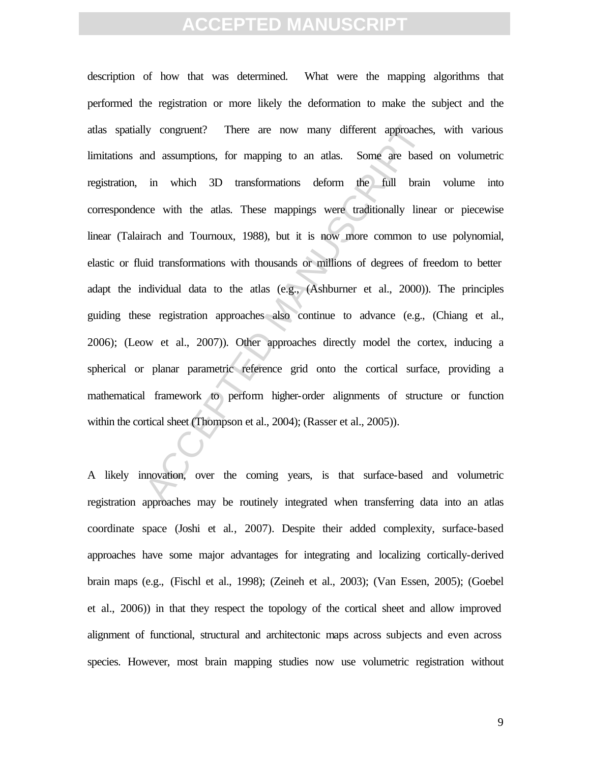Ity congruent? There are now many different approaches<br>and assumptions, for mapping to an atlas. Some are based<br>in which 3D transformations deform the full brain<br>nce with the atlas. These mappings were traditionally line<br>r description of how that was determined. What were the mapping algorithms that performed the registration or more likely the deformation to make the subject and the atlas spatially congruent? There are now many different approaches, with various limitations and assumptions, for mapping to an atlas. Some are based on volumetric registration, in which 3D transformations deform the full brain volume into correspondence with the atlas. These mappings were traditionally linear or piecewise linear (Talairach and Tournoux, 1988), but it is now more common to use polynomial, elastic or fluid transformations with thousands or millions of degrees of freedom to better adapt the individual data to the atlas (e.g., (Ashburner et al., 2000)). The principles guiding these registration approaches also continue to advance (e.g., (Chiang et al., 2006); (Leow et al., 2007)). Other approaches directly model the cortex, inducing a spherical or planar parametric reference grid onto the cortical surface, providing a mathematical framework to perform higher-order alignments of structure or function within the cortical sheet (Thompson et al., 2004); (Rasser et al., 2005)).

A likely innovation, over the coming years, is that surface-based and volumetric registration approaches may be routinely integrated when transferring data into an atlas coordinate space (Joshi et al., 2007). Despite their added complexity, surface-based approaches have some major advantages for integrating and localizing cortically-derived brain maps (e.g., (Fischl et al., 1998); (Zeineh et al., 2003); (Van Essen, 2005); (Goebel et al., 2006)) in that they respect the topology of the cortical sheet and allow improved alignment of functional, structural and architectonic maps across subjects and even across species. However, most brain mapping studies now use volumetric registration without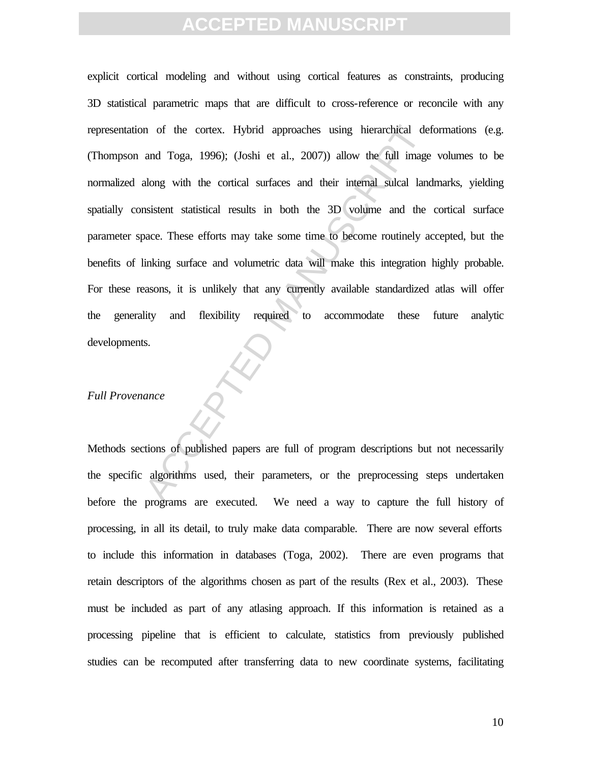In of the cortex. Hybrid approaches using hierarchical del<br>and Toga, 1996); (Joshi et al., 2007)) allow the full image<br>along with the cortical surfaces and their internal sulcal land<br>nisistent statistical results in both t explicit cortical modeling and without using cortical features as constraints, producing 3D statistical parametric maps that are difficult to cross-reference or reconcile with any representation of the cortex. Hybrid approaches using hierarchical deformations (e.g. (Thompson and Toga, 1996); (Joshi et al., 2007)) allow the full image volumes to be normalized along with the cortical surfaces and their internal sulcal landmarks, yielding spatially consistent statistical results in both the 3D volume and the cortical surface parameter space. These efforts may take some time to become routinely accepted, but the benefits of linking surface and volumetric data will make this integration highly probable. For these reasons, it is unlikely that any currently available standardized atlas will offer the generality and flexibility required to accommodate these future analytic developments.

#### *Full Provenance*

Methods sections of published papers are full of program descriptions but not necessarily the specific algorithms used, their parameters, or the preprocessing steps undertaken before the programs are executed. We need a way to capture the full history of processing, in all its detail, to truly make data comparable. There are now several efforts to include this information in databases (Toga, 2002). There are even programs that retain descriptors of the algorithms chosen as part of the results (Rex et al., 2003). These must be included as part of any atlasing approach. If this information is retained as a processing pipeline that is efficient to calculate, statistics from previously published studies can be recomputed after transferring data to new coordinate systems, facilitating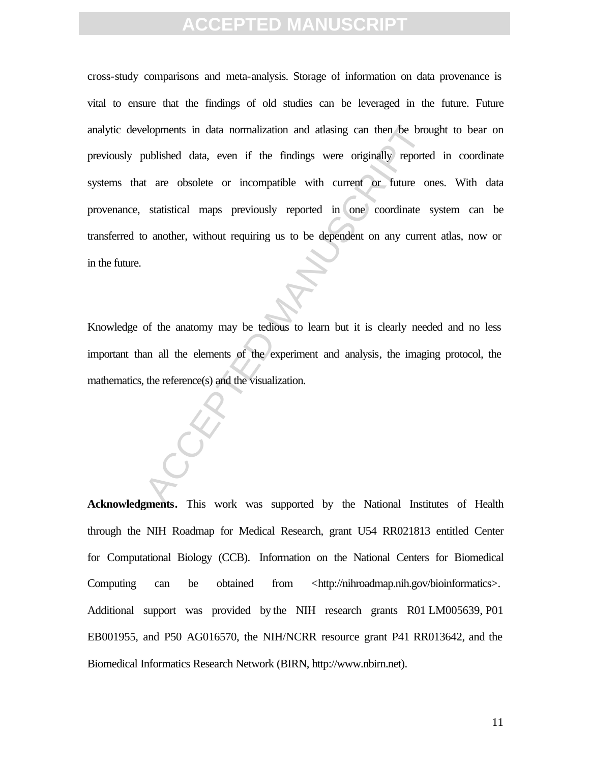elopments in data normalization and atlasing can then be brouver<br>bublished data, even if the findings were originally reported<br>t are obsolete or incompatible with current or future or<br>statistical maps previously reported i cross-study comparisons and meta-analysis. Storage of information on data provenance is vital to ensure that the findings of old studies can be leveraged in the future. Future analytic developments in data normalization and atlasing can then be brought to bear on previously published data, even if the findings were originally reported in coordinate systems that are obsolete or incompatible with current or future ones. With data provenance, statistical maps previously reported in one coordinate system can be transferred to another, without requiring us to be dependent on any current atlas, now or in the future.

Knowledge of the anatomy may be tedious to learn but it is clearly needed and no less important than all the elements of the experiment and analysis, the imaging protocol, the mathematics, the reference(s) and the visualization.

**Acknowledgments.** This work was supported by the National Institutes of Health through the NIH Roadmap for Medical Research, grant U54 RR021813 entitled Center for Computational Biology (CCB). Information on the National Centers for Biomedical Computing can be obtained from <http://nihroadmap.nih.gov/bioinformatics>. Additional support was provided by the NIH research grants R01 LM005639, P01 EB001955, and P50 AG016570, the NIH/NCRR resource grant P41 RR013642, and the Biomedical Informatics Research Network (BIRN, http://www.nbirn.net).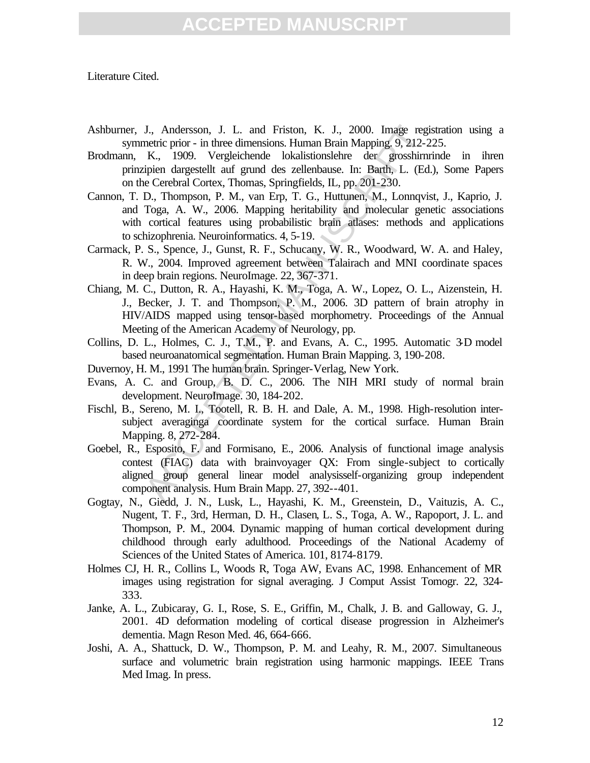Literature Cited.

- Ashburner, J., Andersson, J. L. and Friston, K. J., 2000. Image registration using a symmetric prior - in three dimensions. Human Brain Mapping. 9, 212-225.
- Brodmann, K., 1909. Vergleichende lokalistionslehre der grosshirnrinde in ihren prinzipien dargestellt auf grund des zellenbause. In: Barth, L. (Ed.), Some Papers on the Cerebral Cortex, Thomas, Springfields, IL, pp. 201-230.
- J., Andersson, J. L. and Friston, K. J., 2000. Image regi<br>metric prior in three dimensions. Human Brain Mapping. 9, 212-230.<br>
K., 1909. Vergleichende lokalistionslehre der grosshimr<br>
upien dargestellt auf grund des zelle Cannon, T. D., Thompson, P. M., van Erp, T. G., Huttunen, M., Lonnqvist, J., Kaprio, J. and Toga, A. W., 2006. Mapping heritability and molecular genetic associations with cortical features using probabilistic brain atlases: methods and applications to schizophrenia. Neuroinformatics. 4, 5-19.
- Carmack, P. S., Spence, J., Gunst, R. F., Schucany, W. R., Woodward, W. A. and Haley, R. W., 2004. Improved agreement between Talairach and MNI coordinate spaces in deep brain regions. NeuroImage. 22, 367-371.
- Chiang, M. C., Dutton, R. A., Hayashi, K. M., Toga, A. W., Lopez, O. L., Aizenstein, H. J., Becker, J. T. and Thompson, P. M., 2006. 3D pattern of brain atrophy in HIV/AIDS mapped using tensor-based morphometry. Proceedings of the Annual Meeting of the American Academy of Neurology, pp.
- Collins, D. L., Holmes, C. J., T.M., P. and Evans, A. C., 1995. Automatic 3-D model based neuroanatomical segmentation. Human Brain Mapping. 3, 190-208.
- Duvernoy, H. M., 1991 The human brain. Springer-Verlag, New York.
- Evans, A. C. and Group, B. D. C., 2006. The NIH MRI study of normal brain development. NeuroImage. 30, 184-202.
- Fischl, B., Sereno, M. I., Tootell, R. B. H. and Dale, A. M., 1998. High-resolution intersubject averaginga coordinate system for the cortical surface. Human Brain Mapping. 8, 272-284.
- Goebel, R., Esposito, F. and Formisano, E., 2006. Analysis of functional image analysis contest (FIAC) data with brainvoyager QX: From single-subject to cortically aligned group general linear model analysisself-organizing group independent component analysis. Hum Brain Mapp. 27, 392--401.
- Gogtay, N., Giedd, J. N., Lusk, L., Hayashi, K. M., Greenstein, D., Vaituzis, A. C., Nugent, T. F., 3rd, Herman, D. H., Clasen, L. S., Toga, A. W., Rapoport, J. L. and Thompson, P. M., 2004. Dynamic mapping of human cortical development during childhood through early adulthood. Proceedings of the National Academy of Sciences of the United States of America. 101, 8174-8179.
- Holmes CJ, H. R., Collins L, Woods R, Toga AW, Evans AC, 1998. Enhancement of MR images using registration for signal averaging. J Comput Assist Tomogr. 22, 324- 333.
- Janke, A. L., Zubicaray, G. I., Rose, S. E., Griffin, M., Chalk, J. B. and Galloway, G. J., 2001. 4D deformation modeling of cortical disease progression in Alzheimer's dementia. Magn Reson Med. 46, 664-666.
- Joshi, A. A., Shattuck, D. W., Thompson, P. M. and Leahy, R. M., 2007. Simultaneous surface and volumetric brain registration using harmonic mappings. IEEE Trans Med Imag. In press.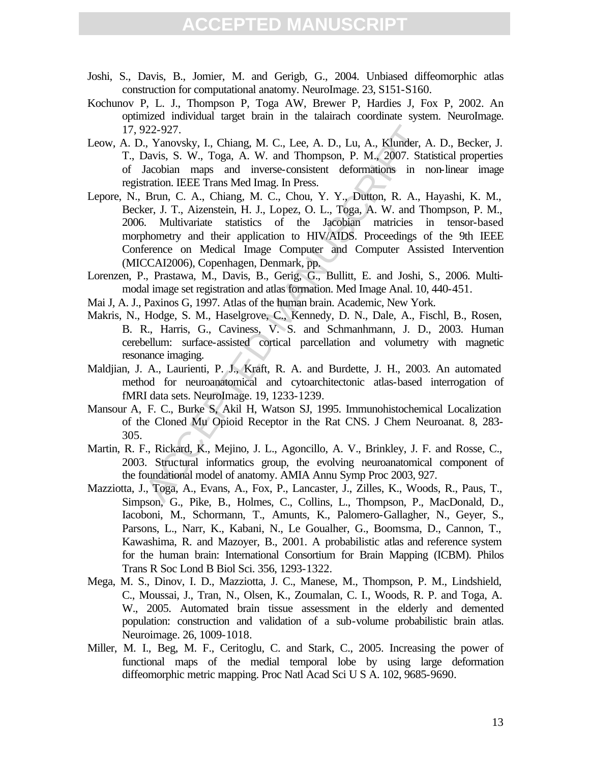- Joshi, S., Davis, B., Jomier, M. and Gerigb, G., 2004. Unbiased diffeomorphic atlas construction for computational anatomy. NeuroImage. 23, S151-S160.
- Kochunov P, L. J., Thompson P, Toga AW, Brewer P, Hardies J, Fox P, 2002. An optimized individual target brain in the talairach coordinate system. NeuroImage. 17, 922-927.
- Leow, A. D., Yanovsky, I., Chiang, M. C., Lee, A. D., Lu, A., Klunder, A. D., Becker, J. T., Davis, S. W., Toga, A. W. and Thompson, P. M., 2007. Statistical properties of Jacobian maps and inverse-consistent deformations in non-linear image registration. IEEE Trans Med Imag. In Press.
- 22-927.<br>
22-927.<br>
22-927. Wanovsky, I., Chiang, M. C., Lee, A. D., Lu, A., Klunder, A<br>
20avis, S. W., Toga, A. W. and Thompson, P. M., 2007. Stat<br>
Idacobian maps and inverse-consistent deformations in n<br>
tration. IEEE Tran Lepore, N., Brun, C. A., Chiang, M. C., Chou, Y. Y., Dutton, R. A., Hayashi, K. M., Becker, J. T., Aizenstein, H. J., Lopez, O. L., Toga, A. W. and Thompson, P. M., 2006. Multivariate statistics of the Jacobian matricies in tensor-based morphometry and their application to HIV/AIDS. Proceedings of the 9th IEEE Conference on Medical Image Computer and Computer Assisted Intervention (MICCAI2006), Copenhagen, Denmark, pp.
- Lorenzen, P., Prastawa, M., Davis, B., Gerig, G., Bullitt, E. and Joshi, S., 2006. Multimodal image set registration and atlas formation. Med Image Anal. 10, 440-451.
- Mai J, A. J., Paxinos G, 1997. Atlas of the human brain. Academic, New York.
- Makris, N., Hodge, S. M., Haselgrove, C., Kennedy, D. N., Dale, A., Fischl, B., Rosen, B. R., Harris, G., Caviness, V. S. and Schmanhmann, J. D., 2003. Human cerebellum: surface-assisted cortical parcellation and volumetry with magnetic resonance imaging.
- Maldjian, J. A., Laurienti, P. J., Kraft, R. A. and Burdette, J. H., 2003. An automated method for neuroanatomical and cytoarchitectonic atlas-based interrogation of fMRI data sets. NeuroImage. 19, 1233-1239.
- Mansour A, F. C., Burke S, Akil H, Watson SJ, 1995. Immunohistochemical Localization of the Cloned Mu Opioid Receptor in the Rat CNS. J Chem Neuroanat. 8, 283- 305.
- Martin, R. F., Rickard, K., Mejino, J. L., Agoncillo, A. V., Brinkley, J. F. and Rosse, C., 2003. Structural informatics group, the evolving neuroanatomical component of the foundational model of anatomy. AMIA Annu Symp Proc 2003, 927.
- Mazziotta, J., Toga, A., Evans, A., Fox, P., Lancaster, J., Zilles, K., Woods, R., Paus, T., Simpson, G., Pike, B., Holmes, C., Collins, L., Thompson, P., MacDonald, D., Iacoboni, M., Schormann, T., Amunts, K., Palomero-Gallagher, N., Geyer, S., Parsons, L., Narr, K., Kabani, N., Le Goualher, G., Boomsma, D., Cannon, T., Kawashima, R. and Mazoyer, B., 2001. A probabilistic atlas and reference system for the human brain: International Consortium for Brain Mapping (ICBM). Philos Trans R Soc Lond B Biol Sci. 356, 1293-1322.
- Mega, M. S., Dinov, I. D., Mazziotta, J. C., Manese, M., Thompson, P. M., Lindshield, C., Moussai, J., Tran, N., Olsen, K., Zoumalan, C. I., Woods, R. P. and Toga, A. W., 2005. Automated brain tissue assessment in the elderly and demented population: construction and validation of a sub-volume probabilistic brain atlas. Neuroimage. 26, 1009-1018.
- Miller, M. I., Beg, M. F., Ceritoglu, C. and Stark, C., 2005. Increasing the power of functional maps of the medial temporal lobe by using large deformation diffeomorphic metric mapping. Proc Natl Acad Sci U S A. 102, 9685-9690.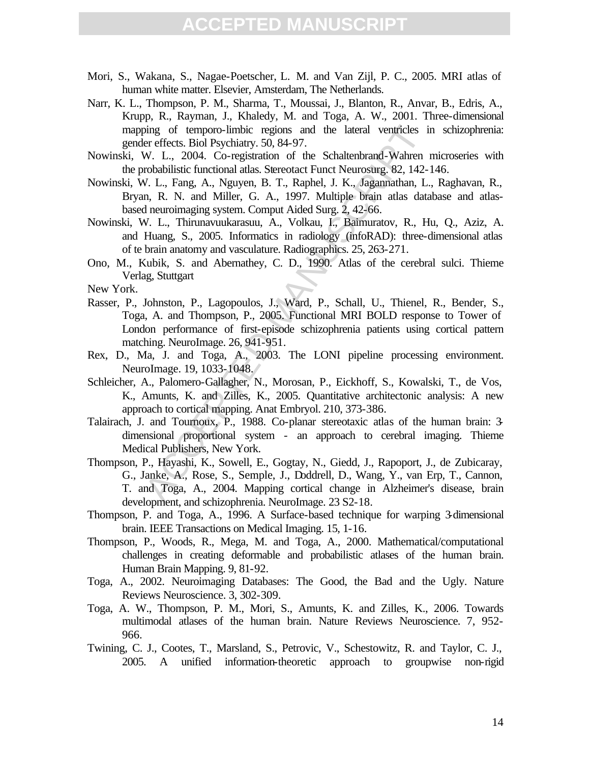- Mori, S., Wakana, S., Nagae-Poetscher, L. M. and Van Zijl, P. C., 2005. MRI atlas of human white matter. Elsevier, Amsterdam, The Netherlands.
- Narr, K. L., Thompson, P. M., Sharma, T., Moussai, J., Blanton, R., Anvar, B., Edris, A., Krupp, R., Rayman, J., Khaledy, M. and Toga, A. W., 2001. Three-dimensional mapping of temporo-limbic regions and the lateral ventricles in schizophrenia: gender effects. Biol Psychiatry. 50, 84-97.
- Nowinski, W. L., 2004. Co-registration of the Schaltenbrand-Wahren microseries with the probabilistic functional atlas. Stereotact Funct Neurosurg. 82, 142-146.
- Nowinski, W. L., Fang, A., Nguyen, B. T., Raphel, J. K., Jagannathan, L., Raghavan, R., Bryan, R. N. and Miller, G. A., 1997. Multiple brain atlas database and atlasbased neuroimaging system. Comput Aided Surg. 2, 42-66.
- Nowinski, W. L., Thirunavuukarasuu, A., Volkau, I., Baimuratov, R., Hu, Q., Aziz, A. and Huang, S., 2005. Informatics in radiology (infoRAD): three-dimensional atlas of te brain anatomy and vasculature. Radiographics. 25, 263-271.
- Ono, M., Kubik, S. and Abernathey, C. D., 1990. Atlas of the cerebral sulci. Thieme Verlag, Stuttgart

New York.

- ing of temporo-limbic regions and the lateral ventricles in<br>Fereffects. Biol Psychiaty: 50, 84-97.<br>
W. L., 2004. Co-registration of the Schaltenbrand-Wahren<br>
robabilistic functional atlas. Stereotact Funct Neurosurg. 82, 1 Rasser, P., Johnston, P., Lagopoulos, J., Ward, P., Schall, U., Thienel, R., Bender, S., Toga, A. and Thompson, P., 2005. Functional MRI BOLD response to Tower of London performance of first-episode schizophrenia patients using cortical pattern matching. NeuroImage. 26, 941-951.
- Rex, D., Ma, J. and Toga, A., 2003. The LONI pipeline processing environment. NeuroImage. 19, 1033-1048.
- Schleicher, A., Palomero-Gallagher, N., Morosan, P., Eickhoff, S., Kowalski, T., de Vos, K., Amunts, K. and Zilles, K., 2005. Quantitative architectonic analysis: A new approach to cortical mapping. Anat Embryol. 210, 373-386.
- Talairach, J. and Tournoux, P., 1988. Co-planar stereotaxic atlas of the human brain: 3 dimensional proportional system - an approach to cerebral imaging. Thieme Medical Publishers, New York.
- Thompson, P., Hayashi, K., Sowell, E., Gogtay, N., Giedd, J., Rapoport, J., de Zubicaray, G., Janke, A., Rose, S., Semple, J., Doddrell, D., Wang, Y., van Erp, T., Cannon, T. and Toga, A., 2004. Mapping cortical change in Alzheimer's disease, brain development, and schizophrenia. NeuroImage. 23 S2-18.
- Thompson, P. and Toga, A., 1996. A Surface-based technique for warping 3-dimensional brain. IEEE Transactions on Medical Imaging. 15, 1-16.
- Thompson, P., Woods, R., Mega, M. and Toga, A., 2000. Mathematical/computational challenges in creating deformable and probabilistic atlases of the human brain. Human Brain Mapping. 9, 81-92.
- Toga, A., 2002. Neuroimaging Databases: The Good, the Bad and the Ugly. Nature Reviews Neuroscience. 3, 302-309.
- Toga, A. W., Thompson, P. M., Mori, S., Amunts, K. and Zilles, K., 2006. Towards multimodal atlases of the human brain. Nature Reviews Neuroscience. 7, 952- 966.
- Twining, C. J., Cootes, T., Marsland, S., Petrovic, V., Schestowitz, R. and Taylor, C. J., 2005. A unified information-theoretic approach to groupwise non-rigid